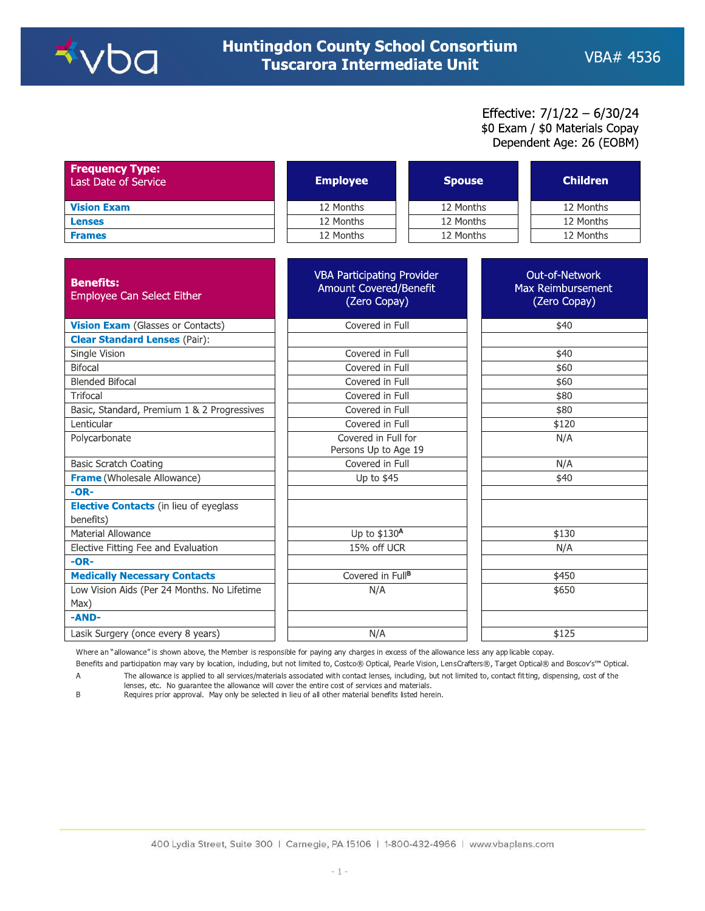

## Effective: 7/1/22 - 6/30/24 \$0 Exam / \$0 Materials Copay Dependent Age: 26 (EOBM)

| <b>Frequency Type:</b><br>Last Date of Service | <b>Employee</b> | <b>Spouse</b> | <b>Children</b> |
|------------------------------------------------|-----------------|---------------|-----------------|
| <b>Vision Exam</b>                             | 12 Months       | 12 Months     | 12 Months       |
| <b>Lenses</b>                                  | 12 Months       | 12 Months     | 12 Months       |
| <b>Frames</b>                                  | 12 Months       | 12 Months     | 12 Months       |

| <b>Benefits:</b><br><b>Employee Can Select Either</b>      | <b>VBA Participating Provider</b><br>Amount Covered/Benefit<br>(Zero Copay) | Out-of-Network<br>Max Reimbursement<br>(Zero Copay) |
|------------------------------------------------------------|-----------------------------------------------------------------------------|-----------------------------------------------------|
| <b>Vision Exam</b> (Glasses or Contacts)                   | Covered in Full                                                             | \$40                                                |
| <b>Clear Standard Lenses (Pair):</b>                       |                                                                             |                                                     |
| Single Vision                                              | Covered in Full                                                             | \$40                                                |
| <b>Bifocal</b>                                             | Covered in Full                                                             | \$60                                                |
| <b>Blended Bifocal</b>                                     | Covered in Full                                                             | \$60                                                |
| Trifocal                                                   | Covered in Full                                                             | \$80                                                |
| Basic, Standard, Premium 1 & 2 Progressives                | Covered in Full                                                             | \$80                                                |
| Lenticular                                                 | Covered in Full                                                             | \$120                                               |
| Polycarbonate                                              | Covered in Full for<br>Persons Up to Age 19                                 | N/A                                                 |
| <b>Basic Scratch Coating</b>                               | Covered in Full                                                             | N/A                                                 |
| <b>Frame</b> (Wholesale Allowance)                         | Up to \$45                                                                  | \$40                                                |
| $-OR-$                                                     |                                                                             |                                                     |
| <b>Elective Contacts</b> (in lieu of eyeglass<br>benefits) |                                                                             |                                                     |
| Material Allowance                                         | Up to \$130A                                                                | \$130                                               |
| Elective Fitting Fee and Evaluation                        | 15% off UCR                                                                 | N/A                                                 |
| $-OR-$                                                     |                                                                             |                                                     |
| <b>Medically Necessary Contacts</b>                        | Covered in Full <sup>B</sup>                                                | \$450                                               |
| Low Vision Aids (Per 24 Months. No Lifetime<br>Max)        | N/A                                                                         | \$650                                               |
| -AND-                                                      |                                                                             |                                                     |
| Lasik Surgery (once every 8 years)                         | N/A                                                                         | \$125                                               |

Where an "allowance" is shown above, the Member is responsible for paying any charges in excess of the allowance less any applicable copay.

Benefits and participation may vary by location, including, but not limited to, Costco® Optical, Pearle Vision, LensCrafters®, Target Optical® and Boscov's™ Optical. The allowance is applied to all services/materials associated with contact lenses, including, but not limited to, contact fitting, dispensing, cost of the  $\mathsf A$ 

lenses, etc. No guarantee the allowance will cover the entire cost of services and materials.  $\,$  B

Requires prior approval. May only be selected in lieu of all other material benefits listed herein.